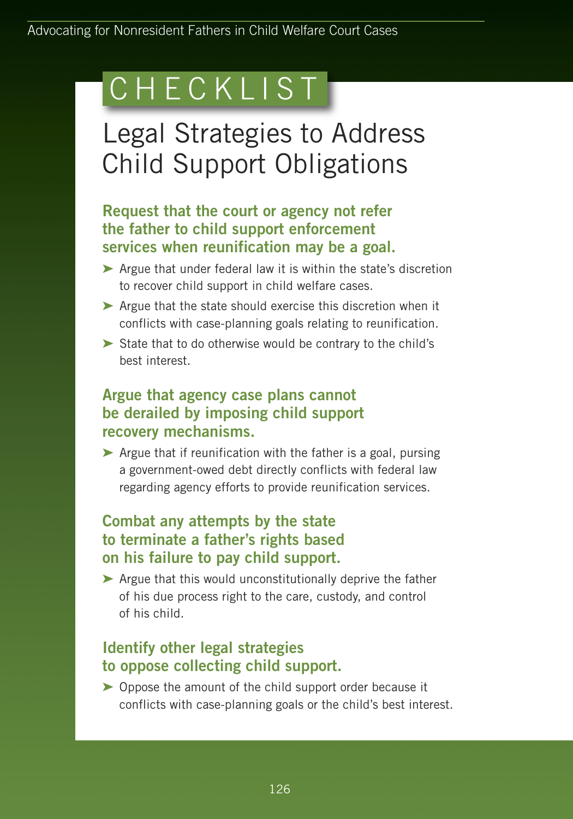# C H E C K L I S T

## Legal Strategies to Address Child Support Obligations

#### **Request that the court or agency not refer the father to child support enforcement services when reunification may be a goal.**

- **➤** Argue that under federal law it is within the state's discretion to recover child support in child welfare cases.
- **➤** Argue that the state should exercise this discretion when it conflicts with case-planning goals relating to reunification.
- **➤** State that to do otherwise would be contrary to the child's best interest.

#### **Argue that agency case plans cannot be derailed by imposing child support recovery mechanisms.**

**➤** Argue that if reunification with the father is a goal, pursing a government-owed debt directly conflicts with federal law regarding agency efforts to provide reunification services.

### **Combat any attempts by the state to terminate a father's rights based on his failure to pay child support.**

**➤** Argue that this would unconstitutionally deprive the father of his due process right to the care, custody, and control of his child.

### **Identify other legal strategies to oppose collecting child support.**

**➤** Oppose the amount of the child support order because it conflicts with case-planning goals or the child's best interest.